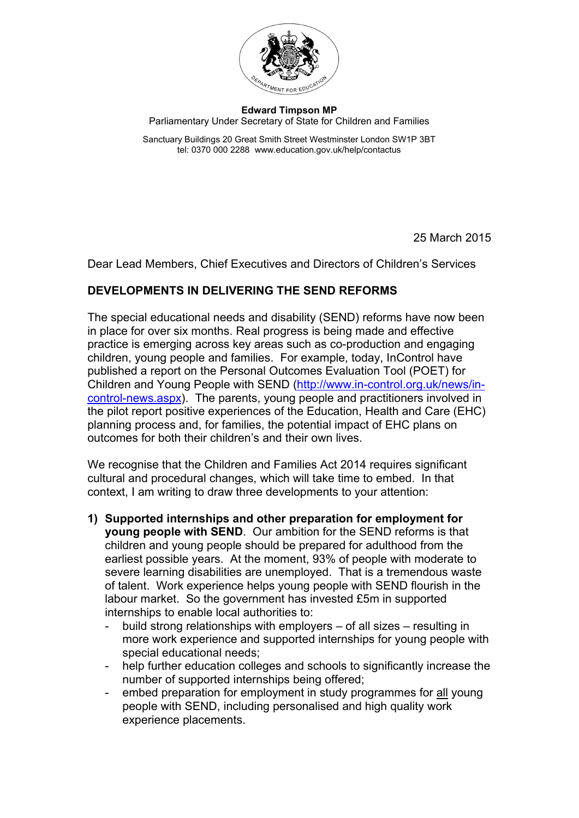

## **Edward Timpson MP** Parliamentary Under Secretary of State for Children and Families

Sanctuary Buildings 20 Great Smith Street Westminster London SW1P 3BT tel: 0370 000 2288 www.education.gov.uk/help/contactus

25 March 2015

Dear Lead Members, Chief Executives and Directors of Children's Services

## **DEVELOPMENTS IN DELIVERING THE SEND REFORMS**

The special educational needs and disability (SEND) reforms have now been in place for over six months. Real progress is being made and effective practice is emerging across key areas such as co-production and engaging children, young people and families. For example, today, InControl have published a report on the Personal Outcomes Evaluation Tool (POET) for Children and Young People with SEND [\(http://www.in-control.org.uk/news/in](http://www.in-control.org.uk/news/in-control-news.aspx)[control-news.aspx\)](http://www.in-control.org.uk/news/in-control-news.aspx). The parents, young people and practitioners involved in the pilot report positive experiences of the Education, Health and Care (EHC) planning process and, for families, the potential impact of EHC plans on outcomes for both their children's and their own lives.

We recognise that the Children and Families Act 2014 requires significant cultural and procedural changes, which will take time to embed. In that context, I am writing to draw three developments to your attention:

- **1) Supported internships and other preparation for employment for young people with SEND**. Our ambition for the SEND reforms is that children and young people should be prepared for adulthood from the earliest possible years. At the moment, 93% of people with moderate to severe learning disabilities are unemployed. That is a tremendous waste of talent. Work experience helps young people with SEND flourish in the labour market. So the government has invested £5m in supported internships to enable local authorities to:
	- build strong relationships with employers of all sizes resulting in more work experience and supported internships for young people with special educational needs;
	- help further education colleges and schools to significantly increase the number of supported internships being offered;
	- embed preparation for employment in study programmes for all young people with SEND, including personalised and high quality work experience placements.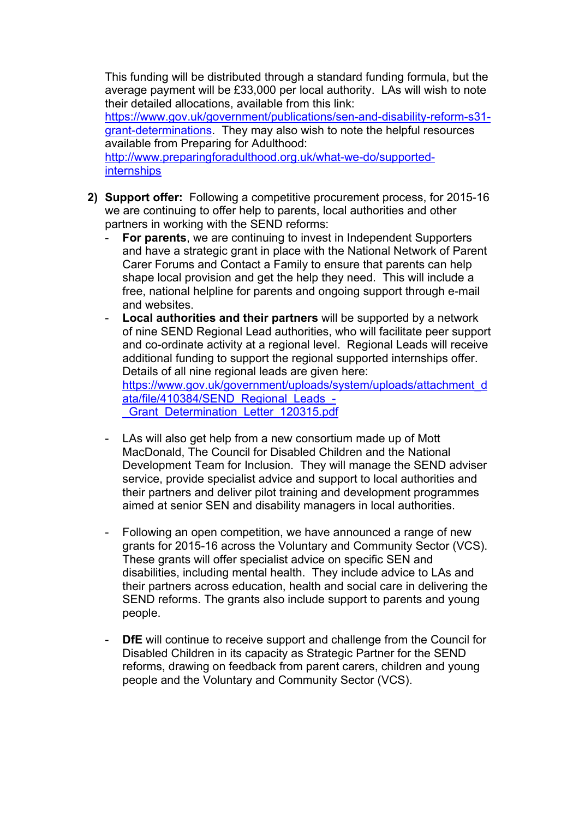This funding will be distributed through a standard funding formula, but the average payment will be £33,000 per local authority. LAs will wish to note their detailed allocations, available from this link:

[https://www.gov.uk/government/publications/sen-and-disability-reform-s31](https://www.gov.uk/government/publications/sen-and-disability-reform-s31-grant-determinations) [grant-determinations.](https://www.gov.uk/government/publications/sen-and-disability-reform-s31-grant-determinations) They may also wish to note the helpful resources available from Preparing for Adulthood:

[http://www.preparingforadulthood.org.uk/what-we-do/supported](http://www.preparingforadulthood.org.uk/what-we-do/supported-internships)[internships](http://www.preparingforadulthood.org.uk/what-we-do/supported-internships)

- **2) Support offer:** Following a competitive procurement process, for 2015-16 we are continuing to offer help to parents, local authorities and other partners in working with the SEND reforms:
	- **For parents**, we are continuing to invest in Independent Supporters and have a strategic grant in place with the National Network of Parent Carer Forums and Contact a Family to ensure that parents can help shape local provision and get the help they need. This will include a free, national helpline for parents and ongoing support through e-mail and websites.
	- Local authorities and their partners will be supported by a network of nine SEND Regional Lead authorities, who will facilitate peer support and co-ordinate activity at a regional level. Regional Leads will receive additional funding to support the regional supported internships offer. Details of all nine regional leads are given here: [https://www.gov.uk/government/uploads/system/uploads/attachment\\_d](https://www.gov.uk/government/uploads/system/uploads/attachment_data/file/410384/SEND_Regional_Leads_-_Grant_Determination_Letter_120315.pdf)

[ata/file/410384/SEND\\_Regional\\_Leads\\_-](https://www.gov.uk/government/uploads/system/uploads/attachment_data/file/410384/SEND_Regional_Leads_-_Grant_Determination_Letter_120315.pdf) Grant\_Determination\_Letter\_120315.pdf

- LAs will also get help from a new consortium made up of Mott MacDonald, The Council for Disabled Children and the National Development Team for Inclusion. They will manage the SEND adviser service, provide specialist advice and support to local authorities and their partners and deliver pilot training and development programmes aimed at senior SEN and disability managers in local authorities.
- Following an open competition, we have announced a range of new grants for 2015-16 across the Voluntary and Community Sector (VCS). These grants will offer specialist advice on specific SEN and disabilities, including mental health. They include advice to LAs and their partners across education, health and social care in delivering the SEND reforms. The grants also include support to parents and young people.
- **DfE** will continue to receive support and challenge from the Council for Disabled Children in its capacity as Strategic Partner for the SEND reforms, drawing on feedback from parent carers, children and young people and the Voluntary and Community Sector (VCS).